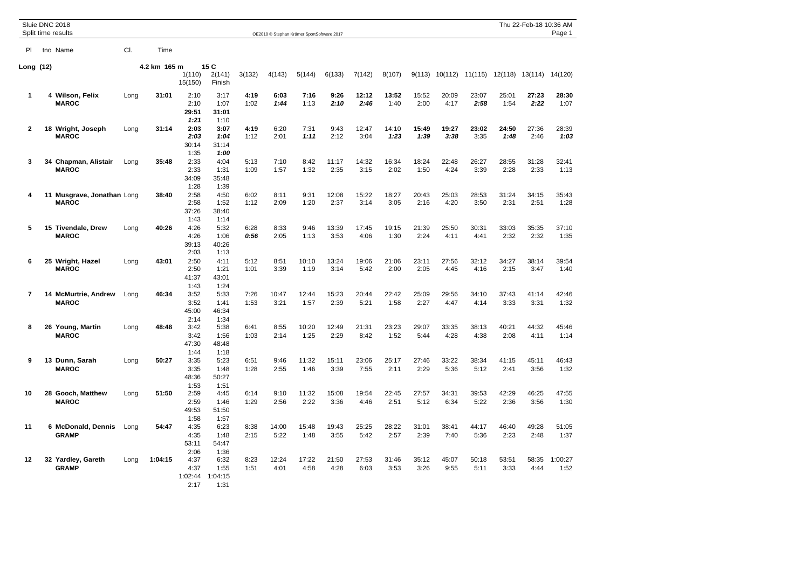|                         | Sluie DNC 2018<br>Thu 22-Feb-18 10:36 AM<br>Split time results<br>Page 1<br>OE2010 © Stephan Krämer SportSoftware 2017 |                                            |      |              |                                 |                                 |              |               |               |               |               |               |               |               |               |               |               |                 |
|-------------------------|------------------------------------------------------------------------------------------------------------------------|--------------------------------------------|------|--------------|---------------------------------|---------------------------------|--------------|---------------|---------------|---------------|---------------|---------------|---------------|---------------|---------------|---------------|---------------|-----------------|
| PI                      |                                                                                                                        | tno Name                                   | CI.  | Time         |                                 |                                 |              |               |               |               |               |               |               |               |               |               |               |                 |
| Long (12)               |                                                                                                                        |                                            |      | 4.2 km 165 m | 1(110)<br>15(150)               | 15 C<br>2(141)<br>Finish        | 3(132)       | 4(143)        | 5(144)        | 6(133)        | 7(142)        | 8(107)        | 9(113)        | 10(112)       | 11(115)       | 12(118)       | 13(114)       | 14(120)         |
| 1                       |                                                                                                                        | 4 Wilson, Felix<br><b>MAROC</b>            | Long | 31:01        | 2:10<br>2:10<br>29:51<br>1:21   | 3:17<br>1:07<br>31:01<br>1:10   | 4:19<br>1:02 | 6:03<br>1:44  | 7:16<br>1:13  | 9:26<br>2:10  | 12:12<br>2:46 | 13:52<br>1:40 | 15:52<br>2:00 | 20:09<br>4:17 | 23:07<br>2:58 | 25:01<br>1:54 | 27:23<br>2:22 | 28:30<br>1:07   |
| $\overline{\mathbf{2}}$ |                                                                                                                        | 18 Wright, Joseph<br><b>MAROC</b>          | Long | 31:14        | 2:03<br>2:03<br>30:14<br>1:35   | 3:07<br>1:04<br>31:14<br>1:00   | 4:19<br>1:12 | 6:20<br>2:01  | 7:31<br>1:11  | 9:43<br>2:12  | 12:47<br>3:04 | 14:10<br>1:23 | 15:49<br>1:39 | 19:27<br>3:38 | 23:02<br>3:35 | 24:50<br>1:48 | 27:36<br>2:46 | 28:39<br>1:03   |
| 3                       | 34                                                                                                                     | Chapman, Alistair<br><b>MAROC</b>          | Long | 35:48        | 2:33<br>2:33<br>34:09<br>1:28   | 4:04<br>1:31<br>35:48<br>1:39   | 5:13<br>1:09 | 7:10<br>1:57  | 8:42<br>1:32  | 11:17<br>2:35 | 14:32<br>3:15 | 16:34<br>2:02 | 18:24<br>1:50 | 22:48<br>4:24 | 26:27<br>3:39 | 28:55<br>2:28 | 31:28<br>2:33 | 32:41<br>1:13   |
| 4                       |                                                                                                                        | 11 Musgrave, Jonathan Long<br><b>MAROC</b> |      | 38:40        | 2:58<br>2:58<br>37:26<br>1:43   | 4:50<br>1:52<br>38:40<br>1:14   | 6:02<br>1:12 | 8:11<br>2:09  | 9:31<br>1:20  | 12:08<br>2:37 | 15:22<br>3:14 | 18:27<br>3:05 | 20:43<br>2:16 | 25:03<br>4:20 | 28:53<br>3:50 | 31:24<br>2:31 | 34:15<br>2:51 | 35:43<br>1:28   |
| 5                       |                                                                                                                        | 15 Tivendale, Drew<br><b>MAROC</b>         | Lona | 40:26        | 4:26<br>4:26<br>39:13<br>2:03   | 5:32<br>1:06<br>40:26<br>1:13   | 6:28<br>0:56 | 8:33<br>2:05  | 9:46<br>1:13  | 13:39<br>3:53 | 17:45<br>4:06 | 19:15<br>1:30 | 21:39<br>2:24 | 25:50<br>4:11 | 30:31<br>4:41 | 33:03<br>2:32 | 35:35<br>2:32 | 37:10<br>1:35   |
| 6                       |                                                                                                                        | 25 Wright, Hazel<br><b>MAROC</b>           | Long | 43:01        | 2:50<br>2:50<br>41:37<br>1:43   | 4:11<br>1:21<br>43:01<br>1:24   | 5:12<br>1:01 | 8:51<br>3:39  | 10:10<br>1:19 | 13:24<br>3:14 | 19:06<br>5:42 | 21:06<br>2:00 | 23:11<br>2:05 | 27:56<br>4:45 | 32:12<br>4:16 | 34:27<br>2:15 | 38:14<br>3:47 | 39:54<br>1:40   |
| $\overline{7}$          |                                                                                                                        | 14 McMurtrie, Andrew<br><b>MAROC</b>       | Lona | 46:34        | 3:52<br>3:52<br>45:00<br>2:14   | 5:33<br>1:41<br>46:34<br>1:34   | 7:26<br>1:53 | 10:47<br>3:21 | 12:44<br>1:57 | 15:23<br>2:39 | 20:44<br>5:21 | 22:42<br>1:58 | 25:09<br>2:27 | 29:56<br>4:47 | 34:10<br>4:14 | 37:43<br>3:33 | 41:14<br>3:31 | 42:46<br>1:32   |
| 8                       |                                                                                                                        | 26 Young, Martin<br><b>MAROC</b>           | Long | 48:48        | 3:42<br>3:42<br>47:30<br>1:44   | 5:38<br>1:56<br>48:48<br>1:18   | 6:41<br>1:03 | 8:55<br>2:14  | 10:20<br>1:25 | 12:49<br>2:29 | 21:31<br>8:42 | 23:23<br>1:52 | 29:07<br>5:44 | 33:35<br>4:28 | 38:13<br>4:38 | 40:21<br>2:08 | 44:32<br>4:11 | 45:46<br>1:14   |
| 9                       |                                                                                                                        | 13 Dunn, Sarah<br><b>MAROC</b>             | Long | 50:27        | 3:35<br>3:35<br>48:36<br>1:53   | 5:23<br>1:48<br>50:27<br>1:51   | 6:51<br>1:28 | 9:46<br>2:55  | 11:32<br>1:46 | 15:11<br>3:39 | 23:06<br>7:55 | 25:17<br>2:11 | 27:46<br>2:29 | 33:22<br>5:36 | 38:34<br>5:12 | 41:15<br>2:41 | 45:11<br>3:56 | 46:43<br>1:32   |
| 10                      |                                                                                                                        | 28 Gooch, Matthew<br><b>MAROC</b>          | Long | 51:50        | 2:59<br>2:59<br>49:53<br>1:58   | 4:45<br>1:46<br>51:50<br>1:57   | 6:14<br>1:29 | 9:10<br>2:56  | 11:32<br>2:22 | 15:08<br>3:36 | 19:54<br>4:46 | 22:45<br>2:51 | 27:57<br>5:12 | 34:31<br>6:34 | 39:53<br>5:22 | 42:29<br>2:36 | 46:25<br>3:56 | 47:55<br>1:30   |
| 11                      |                                                                                                                        | 6 McDonald, Dennis<br><b>GRAMP</b>         | Long | 54:47        | 4:35<br>4:35<br>53:11<br>2:06   | 6:23<br>1:48<br>54:47<br>1:36   | 8:38<br>2:15 | 14:00<br>5:22 | 15:48<br>1:48 | 19:43<br>3:55 | 25:25<br>5:42 | 28:22<br>2:57 | 31:01<br>2:39 | 38:41<br>7:40 | 44:17<br>5:36 | 46:40<br>2:23 | 49:28<br>2:48 | 51:05<br>1:37   |
| 12                      |                                                                                                                        | 32 Yardley, Gareth<br><b>GRAMP</b>         | Long | 1:04:15      | 4:37<br>4:37<br>1:02:44<br>2:17 | 6:32<br>1:55<br>1:04:15<br>1:31 | 8:23<br>1:51 | 12:24<br>4:01 | 17:22<br>4:58 | 21:50<br>4:28 | 27:53<br>6:03 | 31:46<br>3:53 | 35:12<br>3:26 | 45:07<br>9:55 | 50:18<br>5:11 | 53:51<br>3:33 | 58:35<br>4:44 | 1:00:27<br>1:52 |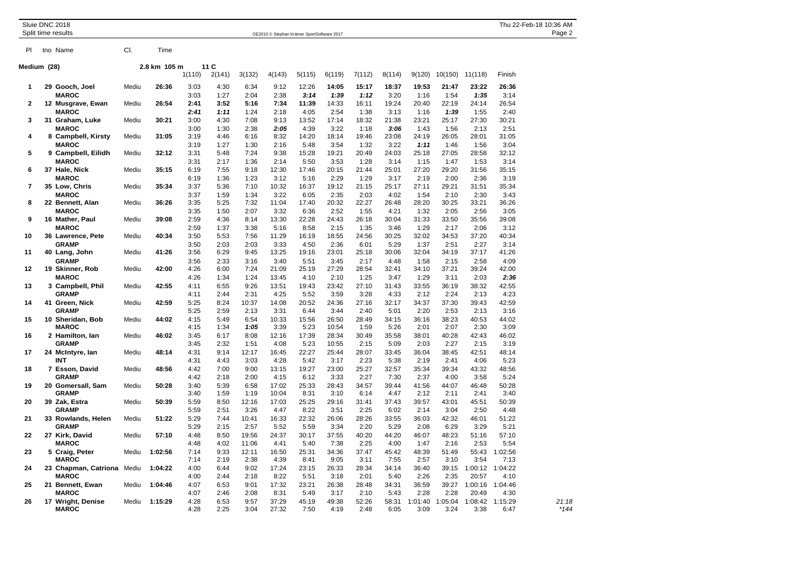|              | Sluie DNC 2018<br>Split time results |       |              |              |              |               | OE2010 @ Stephan Krämer SportSoftware 2017 |               |               |               |               |                 |                 |                 |                 | Thu 22-Feb-18 10:36 AM<br>Page 2 |
|--------------|--------------------------------------|-------|--------------|--------------|--------------|---------------|--------------------------------------------|---------------|---------------|---------------|---------------|-----------------|-----------------|-----------------|-----------------|----------------------------------|
| PI           | tno Name                             | CI.   | Time         |              |              |               |                                            |               |               |               |               |                 |                 |                 |                 |                                  |
| Medium (28)  |                                      |       | 2.8 km 105 m |              | 11 C         |               |                                            |               |               |               |               |                 |                 |                 |                 |                                  |
|              |                                      |       |              | 1(110)       | 2(141)       | 3(132)        | 4(143)                                     | 5(115)        | 6(119)        | 7(112)        | 8(114)        | 9(120)          | 10(150)         | 11(118)         | Finish          |                                  |
| 1            | 29 Gooch, Joel                       | Mediu | 26:36        | 3:03         | 4:30         | 6:34          | 9:12                                       | 12:26         | 14:05         | 15:17         | 18:37         | 19:53           | 21:47           | 23:22           | 26:36           |                                  |
|              | <b>MAROC</b>                         |       |              | 3:03         | 1:27         | 2:04          | 2:38                                       | 3:14          | 1:39          | 1:12          | 3:20          | 1:16            | 1:54            | 1:35            | 3:14            |                                  |
| $\mathbf{2}$ | 12 Musgrave, Ewan                    | Mediu | 26:54        | 2:41         | 3:52         | 5:16          | 7:34                                       | 11:39         | 14:33         | 16:11         | 19:24         | 20:40           | 22:19           | 24:14           | 26:54           |                                  |
|              | <b>MAROC</b>                         |       |              | 2:41         | 1:11         | 1:24          | 2:18                                       | 4:05          | 2:54          | 1:38          | 3:13          | 1:16            | 1:39            | 1:55            | 2:40            |                                  |
| 3            | 31 Graham, Luke                      | Mediu | 30:21        | 3:00         | 4:30         | 7:08          | 9:13                                       | 13:52         | 17:14         | 18:32         | 21:38         | 23:21           | 25:17           | 27:30           | 30:21           |                                  |
|              | <b>MAROC</b>                         |       |              | 3:00         | 1:30         | 2:38          | 2:05                                       | 4:39          | 3:22          | 1:18          | 3:06          | 1:43            | 1:56            | 2:13            | 2:51            |                                  |
| 4            | 8 Campbell, Kirsty                   | Mediu | 31:05        | 3:19         | 4:46         | 6:16          | 8:32                                       | 14:20         | 18:14         | 19:46         | 23:08         | 24:19           | 26:05           | 28:01           | 31:05           |                                  |
|              | <b>MAROC</b>                         |       |              | 3:19         | 1:27         | 1:30          | 2:16                                       | 5:48          | 3:54          | 1:32          | 3:22          | 1:11            | 1:46            | 1:56            | 3:04            |                                  |
| 5            | 9 Campbell, Eilidh                   | Mediu | 32:12        | 3:31<br>3:31 | 5:48         | 7:24<br>1:36  | 9:38<br>2:14                               | 15:28         | 19:21         | 20:49         | 24:03         | 25:18           | 27:05           | 28:58           | 32:12           |                                  |
| 6            | <b>MAROC</b><br>37 Hale, Nick        | Mediu | 35:15        | 6:19         | 2:17<br>7:55 | 9:18          | 12:30                                      | 5:50<br>17:46 | 3:53<br>20:15 | 1:28<br>21:44 | 3:14<br>25:01 | 1:15<br>27:20   | 1:47<br>29:20   | 1:53<br>31:56   | 3:14<br>35:15   |                                  |
|              | <b>MAROC</b>                         |       |              | 6:19         | 1:36         | 1:23          | 3:12                                       | 5:16          | 2:29          | 1:29          | 3:17          | 2:19            | 2:00            | 2:36            | 3:19            |                                  |
| 7            | 35 Low, Chris                        | Mediu | 35:34        | 3:37         | 5:36         | 7:10          | 10:32                                      | 16:37         | 19:12         | 21:15         | 25:17         | 27:11           | 29:21           | 31:51           | 35:34           |                                  |
|              | <b>MAROC</b>                         |       |              | 3:37         | 1:59         | 1:34          | 3:22                                       | 6:05          | 2:35          | 2:03          | 4:02          | 1:54            | 2:10            | 2:30            | 3:43            |                                  |
| 8            | 22 Bennett, Alan                     | Mediu | 36:26        | 3:35         | 5:25         | 7:32          | 11:04                                      | 17:40         | 20:32         | 22:27         | 26:48         | 28:20           | 30:25           | 33:21           | 36:26           |                                  |
|              | <b>MAROC</b>                         |       |              | 3:35         | 1:50         | 2:07          | 3:32                                       | 6:36          | 2:52          | 1:55          | 4:21          | 1:32            | 2:05            | 2:56            | 3:05            |                                  |
| 9            | 16 Mather, Paul                      | Mediu | 39:08        | 2:59         | 4:36         | 8:14          | 13:30                                      | 22:28         | 24:43         | 26:18         | 30:04         | 31:33           | 33:50           | 35:56           | 39:08           |                                  |
|              | <b>MAROC</b>                         |       |              | 2:59         | 1:37         | 3:38          | 5:16                                       | 8:58          | 2:15          | 1:35          | 3:46          | 1:29            | 2:17            | 2:06            | 3:12            |                                  |
| 10           | 36 Lawrence, Pete                    | Mediu | 40:34        | 3:50         | 5:53         | 7:56          | 11:29                                      | 16:19         | 18:55         | 24:56         | 30:25         | 32:02           | 34:53           | 37:20           | 40:34           |                                  |
|              | <b>GRAMP</b>                         |       |              | 3:50         | 2:03         | 2:03          | 3:33                                       | 4:50          | 2:36          | 6:01          | 5:29          | 1:37            | 2:51            | 2:27            | 3:14            |                                  |
| 11           | 40 Lang, John                        | Mediu | 41:26        | 3:56         | 6:29         | 9:45          | 13:25                                      | 19:16         | 23:01         | 25:18         | 30:06         | 32:04           | 34:19           | 37:17           | 41:26           |                                  |
|              | <b>GRAMP</b>                         |       |              | 3:56         | 2:33         | 3:16          | 3:40                                       | 5:51          | 3:45          | 2:17          | 4:48          | 1:58            | 2:15            | 2:58            | 4:09            |                                  |
| $12 \,$      | 19 Skinner, Rob                      | Mediu | 42:00        | 4:26         | 6:00         | 7:24          | 21:09                                      | 25:19         | 27:29         | 28:54         | 32:41         | 34:10           | 37:21           | 39:24           | 42:00           |                                  |
|              | <b>MAROC</b>                         |       |              | 4:26         | 1:34         | 1:24          | 13:45                                      | 4:10          | 2:10          | 1:25          | 3:47          | 1:29            | 3:11            | 2:03            | 2:36            |                                  |
| 13           | 3 Campbell, Phil                     | Mediu | 42:55        | 4:11         | 6:55         | 9:26          | 13:51                                      | 19:43         | 23:42         | 27:10         | 31:43         | 33:55           | 36:19           | 38:32           | 42:55           |                                  |
| 14           | <b>GRAMP</b>                         | Mediu | 42:59        | 4:11<br>5:25 | 2:44<br>8:24 | 2:31<br>10:37 | 4:25<br>14:08                              | 5:52<br>20:52 | 3:59<br>24:36 | 3:28<br>27:16 | 4:33<br>32:17 | 2:12<br>34:37   | 2:24<br>37:30   | 2:13<br>39:43   | 4:23<br>42:59   |                                  |
|              | 41 Green, Nick<br><b>GRAMP</b>       |       |              | 5:25         | 2:59         | 2:13          | 3:31                                       | 6:44          | 3:44          | 2:40          | 5:01          | 2:20            | 2:53            | 2:13            | 3:16            |                                  |
| 15           | 10 Sheridan, Bob                     | Mediu | 44:02        | 4:15         | 5:49         | 6:54          | 10:33                                      | 15:56         | 26:50         | 28:49         | 34:15         | 36:16           | 38:23           | 40:53           | 44:02           |                                  |
|              | <b>MAROC</b>                         |       |              | 4:15         | 1:34         | 1:05          | 3:39                                       | 5:23          | 10:54         | 1:59          | 5:26          | 2:01            | 2:07            | 2:30            | 3:09            |                                  |
| 16           | 2 Hamilton, lan                      | Mediu | 46:02        | 3:45         | 6:17         | 8:08          | 12:16                                      | 17:39         | 28:34         | 30:49         | 35:58         | 38:01           | 40:28           | 42:43           | 46:02           |                                  |
|              | <b>GRAMP</b>                         |       |              | 3:45         | 2:32         | 1:51          | 4:08                                       | 5:23          | 10:55         | 2:15          | 5:09          | 2:03            | 2:27            | 2:15            | 3:19            |                                  |
| 17           | 24 McIntyre, Ian                     | Mediu | 48:14        | 4:31         | 9:14         | 12:17         | 16:45                                      | 22:27         | 25:44         | 28:07         | 33:45         | 36:04           | 38:45           | 42:51           | 48:14           |                                  |
|              | <b>INT</b>                           |       |              | 4:31         | 4:43         | 3:03          | 4:28                                       | 5:42          | 3:17          | 2:23          | 5:38          | 2:19            | 2:41            | 4:06            | 5:23            |                                  |
| 18           | 7 Esson, David                       | Mediu | 48:56        | 4:42         | 7:00         | 9:00          | 13:15                                      | 19:27         | 23:00         | 25:27         | 32:57         | 35:34           | 39:34           | 43:32           | 48:56           |                                  |
|              | <b>GRAMP</b>                         |       |              | 4:42         | 2:18         | 2:00          | 4:15                                       | 6:12          | 3:33          | 2:27          | 7:30          | 2:37            | 4:00            | 3:58            | 5:24            |                                  |
| 19           | 20 Gomersall, Sam                    | Mediu | 50:28        | 3:40         | 5:39         | 6:58          | 17:02                                      | 25:33         | 28:43         | 34:57         | 39:44         | 41:56           | 44:07           | 46:48           | 50:28           |                                  |
|              | <b>GRAMP</b>                         |       |              | 3:40         | 1:59         | 1:19          | 10:04                                      | 8:31          | 3:10          | 6:14          | 4:47          | 2:12            | 2:11            | 2:41            | 3:40            |                                  |
| 20           | 39 Zak, Estra                        | Mediu | 50:39        | 5:59         | 8:50         | 12:16         | 17:03                                      | 25:25         | 29:16         | 31:41         | 37:43         | 39:57           | 43:01           | 45:51           | 50:39           |                                  |
|              | <b>GRAMP</b>                         |       | 51:22        | 5:59         | 2:51         | 3:26          | 4:47                                       | 8:22<br>22:32 | 3:51<br>26:06 | 2:25<br>28:26 | 6:02<br>33:55 | 2:14<br>36:03   | 3:04            | 2:50<br>46:01   | 4:48            |                                  |
| 21           | 33 Rowlands, Helen<br><b>GRAMP</b>   | Mediu |              | 5:29<br>5:29 | 7:44<br>2:15 | 10:41<br>2:57 | 16:33<br>5:52                              | 5:59          | 3:34          | 2:20          | 5:29          | 2:08            | 42:32<br>6:29   | 3:29            | 51:22<br>5:21   |                                  |
| 22           | 27 Kirk, David                       | Mediu | 57:10        | 4:48         | 8:50         | 19:56         | 24:37                                      | 30:17         | 37:55         | 40:20         | 44:20         | 46:07           | 48:23           | 51:16           | 57:10           |                                  |
|              | <b>MAROC</b>                         |       |              | 4:48         | 4:02         | 11:06         | 4:41                                       | 5:40          | 7:38          | 2:25          | 4:00          | 1:47            | 2:16            | 2:53            | 5:54            |                                  |
| 23           | 5 Craig, Peter                       | Mediu | 1:02:56      | 7:14         | 9:33         | 12:11         | 16:50                                      | 25:31         | 34:36         | 37:47         | 45:42         | 48:39           | 51:49           | 55:43           | 1:02:56         |                                  |
|              | <b>MAROC</b>                         |       |              | 7:14         | 2:19         | 2:38          | 4:39                                       | 8:41          | 9:05          | 3:11          | 7:55          | 2:57            | 3:10            | 3:54            | 7:13            |                                  |
| 24           | 23 Chapman, Catriona Mediu           |       | 1:04:22      | 4:00         | 6:44         | 9:02          | 17:24                                      | 23:15         | 26:33         | 28:34         | 34:14         | 36:40           | 39:15           | 1:00:12         | 1:04:22         |                                  |
|              | <b>MAROC</b>                         |       |              | 4:00         | 2:44         | 2:18          | 8:22                                       | 5:51          | 3:18          | 2:01          | 5:40          | 2:26            | 2:35            | 20:57           | 4:10            |                                  |
| 25           | 21 Bennett, Ewan                     | Mediu | 1:04:46      | 4:07         | 6:53         | 9:01          | 17:32                                      | 23:21         | 26:38         | 28:48         | 34:31         | 36:59           | 39:27           | 1:00:16         | 1:04:46         |                                  |
|              | <b>MAROC</b>                         |       |              | 4:07         | 2:46         | 2:08          | 8:31                                       | 5:49          | 3:17          | 2:10          | 5:43          | 2:28            | 2:28            | 20:49           | 4:30            |                                  |
| 26           | 17 Wright, Denise<br><b>MAROC</b>    | Mediu | 1:15:29      | 4:28<br>4:28 | 6:53<br>2:25 | 9:57<br>3:04  | 37:29<br>27:32                             | 45:19<br>7:50 | 49:38<br>4:19 | 52:26<br>2:48 | 58:31<br>6:05 | 1:01:40<br>3:09 | 1:05:04<br>3:24 | 1:08:42<br>3:38 | 1:15:29<br>6:47 | 21:18<br>*144                    |
|              |                                      |       |              |              |              |               |                                            |               |               |               |               |                 |                 |                 |                 |                                  |